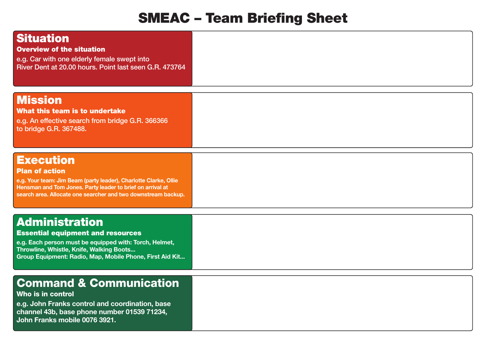## **SMEAC – Team Briefing Sheet**

| Situation<br>Overview of the situation<br>e.g. Car with one elderly female swept into<br>River Dent at 20.00 hours. Point last seen G.R. 473764                                                                                              |  |
|----------------------------------------------------------------------------------------------------------------------------------------------------------------------------------------------------------------------------------------------|--|
| <b>Mission</b><br>What this team is to undertake<br>e.g. An effective search from bridge G.R. 366366<br>to bridge G.R. 367488.                                                                                                               |  |
| <b>Execution</b><br><b>Plan of action</b><br>e.g. Your team: Jim Beam (party leader), Charlotte Clarke, Ollie<br>Hensman and Tom Jones. Party leader to brief on arrival at<br>search area. Allocate one searcher and two downstream backup. |  |
| <b>Administration</b><br><b>Essential equipment and resources</b><br>e.g. Each person must be equipped with: Torch, Helmet,<br>Throwline, Whistle, Knife, Walking Boots<br><b>Property Committee Committee</b>                               |  |

## **Group Equipment: Radio, Map, Mobile Phone, First Aid Kit...**

## **Command & Communication**

## **Who is in control**

**e.g. John Franks control and coordination, base channel 43b, base phone number 01539 71234, John Franks mobile 0076 3921.**